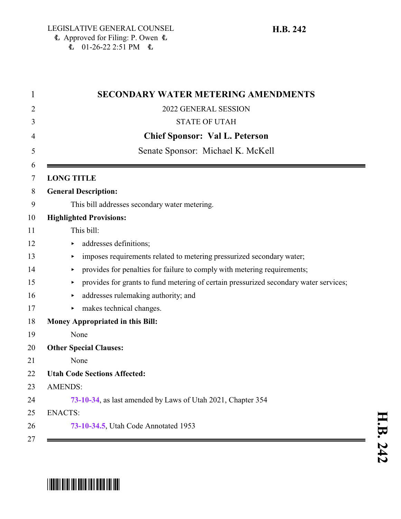| <b>SECONDARY WATER METERING AMENDMENTS</b>                                            |
|---------------------------------------------------------------------------------------|
| 2022 GENERAL SESSION                                                                  |
| <b>STATE OF UTAH</b>                                                                  |
| <b>Chief Sponsor: Val L. Peterson</b>                                                 |
| Senate Sponsor: Michael K. McKell                                                     |
| <b>LONG TITLE</b>                                                                     |
| <b>General Description:</b>                                                           |
| This bill addresses secondary water metering.                                         |
| <b>Highlighted Provisions:</b>                                                        |
| This bill:                                                                            |
| addresses definitions;<br>Þ.                                                          |
| imposes requirements related to metering pressurized secondary water;<br>▶            |
| provides for penalties for failure to comply with metering requirements;<br>▶         |
| provides for grants to fund metering of certain pressurized secondary water services; |
| addresses rulemaking authority; and<br>▶                                              |
| makes technical changes.                                                              |
| Money Appropriated in this Bill:                                                      |
| None                                                                                  |
| <b>Other Special Clauses:</b>                                                         |
| None                                                                                  |
| <b>Utah Code Sections Affected:</b>                                                   |
| <b>AMENDS:</b>                                                                        |
| 73-10-34, as last amended by Laws of Utah 2021, Chapter 354                           |
| <b>ENACTS:</b>                                                                        |
| 73-10-34.5, Utah Code Annotated 1953                                                  |

# \*HB0242\*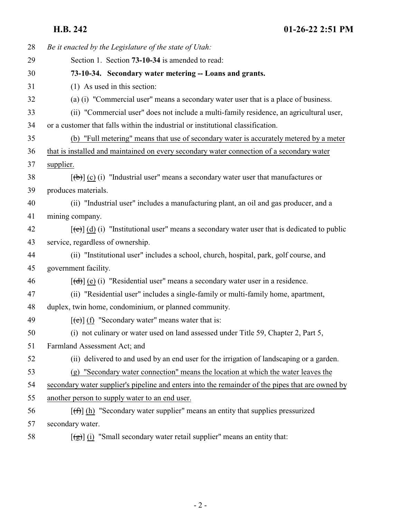<span id="page-1-0"></span>**H.B. 242 01-26-22 2:51 PM**

| 28 | Be it enacted by the Legislature of the state of Utah:                                                       |
|----|--------------------------------------------------------------------------------------------------------------|
| 29 | Section 1. Section 73-10-34 is amended to read:                                                              |
| 30 | 73-10-34. Secondary water metering -- Loans and grants.                                                      |
| 31 | (1) As used in this section:                                                                                 |
| 32 | (a) (i) "Commercial user" means a secondary water user that is a place of business.                          |
| 33 | (ii) "Commercial user" does not include a multi-family residence, an agricultural user,                      |
| 34 | or a customer that falls within the industrial or institutional classification.                              |
| 35 | (b) "Full metering" means that use of secondary water is accurately metered by a meter                       |
| 36 | that is installed and maintained on every secondary water connection of a secondary water                    |
| 37 | supplier.                                                                                                    |
| 38 | $[\phi]$ (c) (i) "Industrial user" means a secondary water user that manufactures or                         |
| 39 | produces materials.                                                                                          |
| 40 | (ii) "Industrial user" includes a manufacturing plant, an oil and gas producer, and a                        |
| 41 | mining company.                                                                                              |
| 42 | $[\text{e}(\text{e})]$ (d) (i) "Institutional user" means a secondary water user that is dedicated to public |
| 43 | service, regardless of ownership.                                                                            |
| 44 | (ii) "Institutional user" includes a school, church, hospital, park, golf course, and                        |
| 45 | government facility.                                                                                         |
| 46 | $[\text{(\text{d})}]$ (e) (i) "Residential user" means a secondary water user in a residence.                |
| 47 | (ii) "Residential user" includes a single-family or multi-family home, apartment,                            |
| 48 | duplex, twin home, condominium, or planned community.                                                        |
| 49 | $[\text{e}(\text{e})]$ (f) "Secondary water" means water that is:                                            |
| 50 | (i) not culinary or water used on land assessed under Title 59, Chapter 2, Part 5,                           |
| 51 | Farmland Assessment Act; and                                                                                 |
| 52 | (ii) delivered to and used by an end user for the irrigation of landscaping or a garden.                     |
| 53 | (g) "Secondary water connection" means the location at which the water leaves the                            |
| 54 | secondary water supplier's pipeline and enters into the remainder of the pipes that are owned by             |
| 55 | another person to supply water to an end user.                                                               |
| 56 | $[\text{f} \hat{\theta}]$ (h) "Secondary water supplier" means an entity that supplies pressurized           |
| 57 | secondary water.                                                                                             |
| 58 | $\left[\frac{1}{2}\right]$ (i) "Small secondary water retail supplier" means an entity that:                 |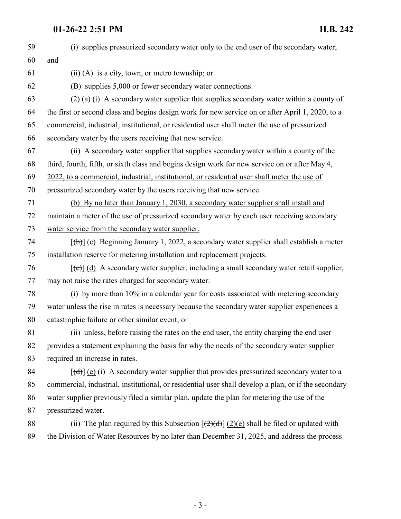| 59 | (i) supplies pressurized secondary water only to the end user of the secondary water;                       |
|----|-------------------------------------------------------------------------------------------------------------|
| 60 | and                                                                                                         |
| 61 | $(ii)$ (A) is a city, town, or metro township; or                                                           |
| 62 | (B) supplies 5,000 or fewer secondary water connections.                                                    |
| 63 | $(2)$ (a) (i) A secondary water supplier that supplies secondary water within a county of                   |
| 64 | the first or second class and begins design work for new service on or after April 1, 2020, to a            |
| 65 | commercial, industrial, institutional, or residential user shall meter the use of pressurized               |
| 66 | secondary water by the users receiving that new service.                                                    |
| 67 | (ii) A secondary water supplier that supplies secondary water within a county of the                        |
| 68 | third, fourth, fifth, or sixth class and begins design work for new service on or after May 4,              |
| 69 | 2022, to a commercial, industrial, institutional, or residential user shall meter the use of                |
| 70 | pressurized secondary water by the users receiving that new service.                                        |
| 71 | (b) By no later than January 1, 2030, a secondary water supplier shall install and                          |
| 72 | maintain a meter of the use of pressurized secondary water by each user receiving secondary                 |
| 73 | water service from the secondary water supplier.                                                            |
| 74 | $[\text{(+)}]$ (c) Beginning January 1, 2022, a secondary water supplier shall establish a meter            |
| 75 | installation reserve for metering installation and replacement projects.                                    |
| 76 | $[\text{e}(\text{e})]$ (d) A secondary water supplier, including a small secondary water retail supplier,   |
| 77 | may not raise the rates charged for secondary water:                                                        |
| 78 | (i) by more than 10% in a calendar year for costs associated with metering secondary                        |
| 79 | water unless the rise in rates is necessary because the secondary water supplier experiences a              |
| 80 | catastrophic failure or other similar event; or                                                             |
| 81 | (ii) unless, before raising the rates on the end user, the entity charging the end user                     |
| 82 | provides a statement explaining the basis for why the needs of the secondary water supplier                 |
| 83 | required an increase in rates.                                                                              |
| 84 | $[\text{(\text{d})}]$ (e) (i) A secondary water supplier that provides pressurized secondary water to a     |
| 85 | commercial, industrial, institutional, or residential user shall develop a plan, or if the secondary        |
| 86 | water supplier previously filed a similar plan, update the plan for metering the use of the                 |
| 87 | pressurized water.                                                                                          |
| 88 | (ii) The plan required by this Subsection $\left[\frac{2}{2}d\right]$ (2)(e) shall be filed or updated with |
| 89 | the Division of Water Resources by no later than December 31, 2025, and address the process                 |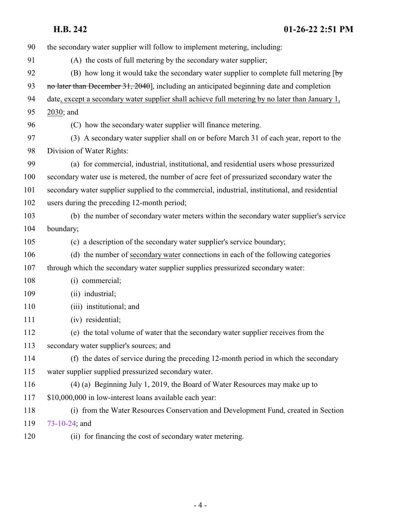**H.B. 242 01-26-22 2:51 PM**

| 90  | the secondary water supplier will follow to implement metering, including:                                      |
|-----|-----------------------------------------------------------------------------------------------------------------|
| 91  | (A) the costs of full metering by the secondary water supplier;                                                 |
| 92  | (B) how long it would take the secondary water supplier to complete full metering $\lceil \frac{b_y}{c} \rceil$ |
| 93  | no later than December 31, 2040], including an anticipated beginning date and completion                        |
| 94  | date, except a secondary water supplier shall achieve full metering by no later than January 1,                 |
| 95  | 2030; and                                                                                                       |
| 96  | (C) how the secondary water supplier will finance metering.                                                     |
| 97  | (3) A secondary water supplier shall on or before March 31 of each year, report to the                          |
| 98  | Division of Water Rights:                                                                                       |
| 99  | (a) for commercial, industrial, institutional, and residential users whose pressurized                          |
| 100 | secondary water use is metered, the number of acre feet of pressurized secondary water the                      |
| 101 | secondary water supplier supplied to the commercial, industrial, institutional, and residential                 |
| 102 | users during the preceding 12-month period;                                                                     |
| 103 | (b) the number of secondary water meters within the secondary water supplier's service                          |
| 104 | boundary;                                                                                                       |
| 105 | (c) a description of the secondary water supplier's service boundary;                                           |
| 106 | (d) the number of secondary water connections in each of the following categories                               |
| 107 | through which the secondary water supplier supplies pressurized secondary water:                                |
| 108 | (i) commercial;                                                                                                 |
| 109 | (ii) industrial;                                                                                                |
| 110 | (iii) institutional; and                                                                                        |
| 111 | (iv) residential;                                                                                               |
| 112 | (e) the total volume of water that the secondary water supplier receives from the                               |
| 113 | secondary water supplier's sources; and                                                                         |
| 114 | (f) the dates of service during the preceding 12-month period in which the secondary                            |
| 115 | water supplier supplied pressurized secondary water.                                                            |
| 116 | (4) (a) Beginning July 1, 2019, the Board of Water Resources may make up to                                     |
| 117 | \$10,000,000 in low-interest loans available each year:                                                         |
| 118 | (i) from the Water Resources Conservation and Development Fund, created in Section                              |
| 119 | 73-10-24; and                                                                                                   |
| 120 | (ii) for financing the cost of secondary water metering.                                                        |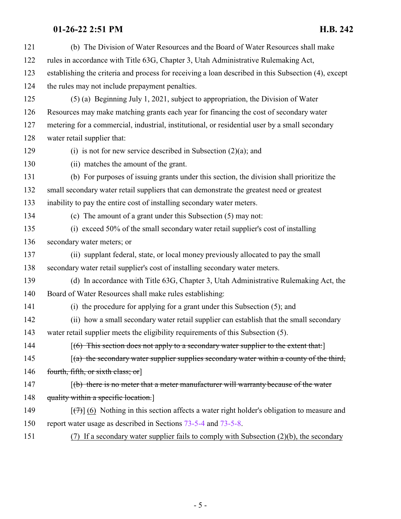| 121 | (b) The Division of Water Resources and the Board of Water Resources shall make                            |
|-----|------------------------------------------------------------------------------------------------------------|
| 122 | rules in accordance with Title 63G, Chapter 3, Utah Administrative Rulemaking Act,                         |
| 123 | establishing the criteria and process for receiving a loan described in this Subsection (4), except        |
| 124 | the rules may not include prepayment penalties.                                                            |
| 125 | $(5)$ (a) Beginning July 1, 2021, subject to appropriation, the Division of Water                          |
| 126 | Resources may make matching grants each year for financing the cost of secondary water                     |
| 127 | metering for a commercial, industrial, institutional, or residential user by a small secondary             |
| 128 | water retail supplier that:                                                                                |
| 129 | (i) is not for new service described in Subsection $(2)(a)$ ; and                                          |
| 130 | (ii) matches the amount of the grant.                                                                      |
| 131 | (b) For purposes of issuing grants under this section, the division shall prioritize the                   |
| 132 | small secondary water retail suppliers that can demonstrate the greatest need or greatest                  |
| 133 | inability to pay the entire cost of installing secondary water meters.                                     |
| 134 | (c) The amount of a grant under this Subsection (5) may not:                                               |
| 135 | (i) exceed 50% of the small secondary water retail supplier's cost of installing                           |
| 136 | secondary water meters; or                                                                                 |
| 137 | (ii) supplant federal, state, or local money previously allocated to pay the small                         |
| 138 | secondary water retail supplier's cost of installing secondary water meters.                               |
| 139 | (d) In accordance with Title 63G, Chapter 3, Utah Administrative Rulemaking Act, the                       |
| 140 | Board of Water Resources shall make rules establishing:                                                    |
| 141 | (i) the procedure for applying for a grant under this Subsection (5); and                                  |
| 142 | (ii) how a small secondary water retail supplier can establish that the small secondary                    |
| 143 | water retail supplier meets the eligibility requirements of this Subsection (5).                           |
| 144 | $(6)$ This section does not apply to a secondary water supplier to the extent that:                        |
| 145 | $(a)$ the secondary water supplier supplies secondary water within a county of the third,                  |
| 146 | fourth, fifth, or sixth class; or                                                                          |
| 147 | $\left[\frac{b}{b}\right]$ there is no meter that a meter manufacturer will warranty because of the water  |
| 148 | quality within a specific location.                                                                        |
| 149 | $[\overline{(\tau)}]$ (6) Nothing in this section affects a water right holder's obligation to measure and |
| 150 | report water usage as described in Sections 73-5-4 and 73-5-8.                                             |
|     |                                                                                                            |

(7) If a secondary water supplier fails to comply with Subsection (2)(b), the secondary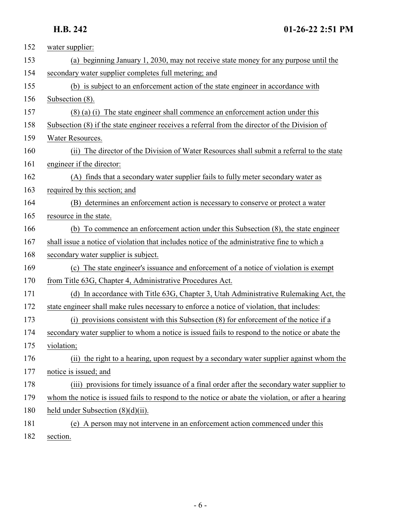| 152 | water supplier:                                                                                     |
|-----|-----------------------------------------------------------------------------------------------------|
| 153 | (a) beginning January 1, 2030, may not receive state money for any purpose until the                |
| 154 | secondary water supplier completes full metering; and                                               |
| 155 | (b) is subject to an enforcement action of the state engineer in accordance with                    |
| 156 | Subsection (8).                                                                                     |
| 157 | (8) (a) (i) The state engineer shall commence an enforcement action under this                      |
| 158 | Subsection (8) if the state engineer receives a referral from the director of the Division of       |
| 159 | Water Resources.                                                                                    |
| 160 | (ii) The director of the Division of Water Resources shall submit a referral to the state           |
| 161 | engineer if the director:                                                                           |
| 162 | (A) finds that a secondary water supplier fails to fully meter secondary water as                   |
| 163 | required by this section; and                                                                       |
| 164 | (B) determines an enforcement action is necessary to conserve or protect a water                    |
| 165 | resource in the state.                                                                              |
| 166 | (b) To commence an enforcement action under this Subsection (8), the state engineer                 |
| 167 | shall issue a notice of violation that includes notice of the administrative fine to which a        |
| 168 | secondary water supplier is subject.                                                                |
| 169 | (c) The state engineer's issuance and enforcement of a notice of violation is exempt                |
| 170 | from Title 63G, Chapter 4, Administrative Procedures Act.                                           |
| 171 | (d) In accordance with Title 63G, Chapter 3, Utah Administrative Rulemaking Act, the                |
| 172 | state engineer shall make rules necessary to enforce a notice of violation, that includes:          |
| 173 | provisions consistent with this Subsection (8) for enforcement of the notice if a                   |
| 174 | secondary water supplier to whom a notice is issued fails to respond to the notice or abate the     |
| 175 | violation;                                                                                          |
| 176 | (ii) the right to a hearing, upon request by a secondary water supplier against whom the            |
| 177 | notice is issued; and                                                                               |
| 178 | (iii) provisions for timely issuance of a final order after the secondary water supplier to         |
| 179 | whom the notice is issued fails to respond to the notice or abate the violation, or after a hearing |
| 180 | held under Subsection $(8)(d)(ii)$ .                                                                |
| 181 | (e) A person may not intervene in an enforcement action commenced under this                        |
| 102 |                                                                                                     |

182 section.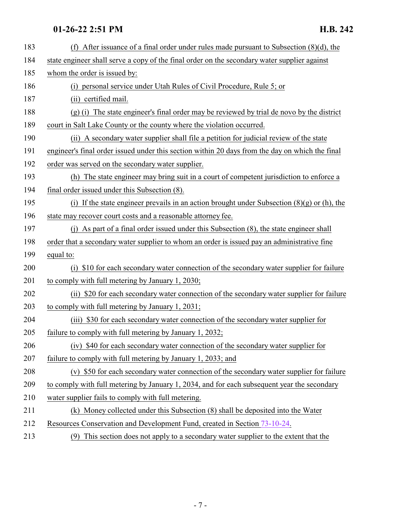| 183 | (f) After issuance of a final order under rules made pursuant to Subsection $(8)(d)$ , the      |
|-----|-------------------------------------------------------------------------------------------------|
| 184 | state engineer shall serve a copy of the final order on the secondary water supplier against    |
| 185 | whom the order is issued by:                                                                    |
| 186 | (i) personal service under Utah Rules of Civil Procedure, Rule 5; or                            |
| 187 | (ii) certified mail.                                                                            |
| 188 | (g) (i) The state engineer's final order may be reviewed by trial de novo by the district       |
| 189 | court in Salt Lake County or the county where the violation occurred.                           |
| 190 | (ii) A secondary water supplier shall file a petition for judicial review of the state          |
| 191 | engineer's final order issued under this section within 20 days from the day on which the final |
| 192 | order was served on the secondary water supplier.                                               |
| 193 | (h) The state engineer may bring suit in a court of competent jurisdiction to enforce a         |
| 194 | final order issued under this Subsection (8).                                                   |
| 195 | (i) If the state engineer prevails in an action brought under Subsection $(8)(g)$ or (h), the   |
| 196 | state may recover court costs and a reasonable attorney fee.                                    |
| 197 | (j) As part of a final order issued under this Subsection (8), the state engineer shall         |
| 198 | order that a secondary water supplier to whom an order is issued pay an administrative fine     |
| 199 | equal to:                                                                                       |
| 200 | (i) \$10 for each secondary water connection of the secondary water supplier for failure        |
| 201 | to comply with full metering by January 1, 2030;                                                |
| 202 | (ii) \$20 for each secondary water connection of the secondary water supplier for failure       |
| 203 | to comply with full metering by January 1, 2031;                                                |
| 204 | (iii) \$30 for each secondary water connection of the secondary water supplier for              |
| 205 | failure to comply with full metering by January 1, 2032;                                        |
| 206 | (iv) \$40 for each secondary water connection of the secondary water supplier for               |
| 207 | failure to comply with full metering by January 1, 2033; and                                    |
| 208 | (v) \$50 for each secondary water connection of the secondary water supplier for failure        |
| 209 | to comply with full metering by January 1, 2034, and for each subsequent year the secondary     |
| 210 | water supplier fails to comply with full metering.                                              |
| 211 | (k) Money collected under this Subsection (8) shall be deposited into the Water                 |
| 212 | Resources Conservation and Development Fund, created in Section 73-10-24.                       |
| 213 | This section does not apply to a secondary water supplier to the extent that the<br>(9)         |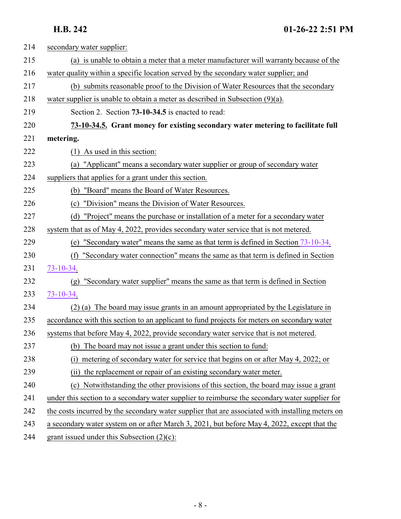<span id="page-7-0"></span>

| 214 | secondary water supplier:                                                                        |
|-----|--------------------------------------------------------------------------------------------------|
| 215 | (a) is unable to obtain a meter that a meter manufacturer will warranty because of the           |
| 216 | water quality within a specific location served by the secondary water supplier; and             |
| 217 | (b) submits reasonable proof to the Division of Water Resources that the secondary               |
| 218 | water supplier is unable to obtain a meter as described in Subsection $(9)(a)$ .                 |
| 219 | Section 2. Section 73-10-34.5 is enacted to read:                                                |
| 220 | 73-10-34.5. Grant money for existing secondary water metering to facilitate full                 |
| 221 | metering.                                                                                        |
| 222 | As used in this section:<br>(1)                                                                  |
| 223 | (a) "Applicant" means a secondary water supplier or group of secondary water                     |
| 224 | suppliers that applies for a grant under this section.                                           |
| 225 | (b) "Board" means the Board of Water Resources.                                                  |
| 226 | "Division" means the Division of Water Resources.<br>(c)                                         |
| 227 | "Project" means the purchase or installation of a meter for a secondary water<br>(d)             |
| 228 | system that as of May 4, 2022, provides secondary water service that is not metered.             |
| 229 | (e) "Secondary water" means the same as that term is defined in Section $73-10-34$ .             |
| 230 | "Secondary water connection" means the same as that term is defined in Section<br>(f)            |
| 231 | $73 - 10 - 34.$                                                                                  |
| 232 | "Secondary water supplier" means the same as that term is defined in Section<br>(g)              |
| 233 | 73-10-34.                                                                                        |
| 234 | (2) (a) The board may issue grants in an amount appropriated by the Legislature in               |
| 235 | accordance with this section to an applicant to fund projects for meters on secondary water      |
| 236 | systems that before May 4, 2022, provide secondary water service that is not metered.            |
| 237 | The board may not issue a grant under this section to fund:<br>(b)                               |
| 238 | metering of secondary water for service that begins on or after May 4, 2022; or<br>(i)           |
| 239 | (ii) the replacement or repair of an existing secondary water meter.                             |
| 240 | Notwithstanding the other provisions of this section, the board may issue a grant<br>(c)         |
| 241 | under this section to a secondary water supplier to reimburse the secondary water supplier for   |
| 242 | the costs incurred by the secondary water supplier that are associated with installing meters on |
| 243 | a secondary water system on or after March 3, 2021, but before May 4, 2022, except that the      |
| 244 | grant issued under this Subsection $(2)(c)$ :                                                    |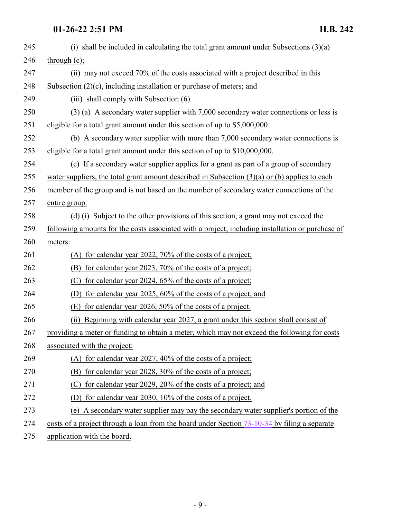| 245 | (i) shall be included in calculating the total grant amount under Subsections $(3)(a)$           |
|-----|--------------------------------------------------------------------------------------------------|
| 246 | through $(c)$ ;                                                                                  |
| 247 | (ii) may not exceed 70% of the costs associated with a project described in this                 |
| 248 | Subsection $(2)(c)$ , including installation or purchase of meters; and                          |
| 249 | (iii) shall comply with Subsection (6).                                                          |
| 250 | $(3)$ (a) A secondary water supplier with 7,000 secondary water connections or less is           |
| 251 | eligible for a total grant amount under this section of up to \$5,000,000.                       |
| 252 | (b) A secondary water supplier with more than 7,000 secondary water connections is               |
| 253 | eligible for a total grant amount under this section of up to \$10,000,000.                      |
| 254 | (c) If a secondary water supplier applies for a grant as part of a group of secondary            |
| 255 | water suppliers, the total grant amount described in Subsection $(3)(a)$ or (b) applies to each  |
| 256 | member of the group and is not based on the number of secondary water connections of the         |
| 257 | entire group.                                                                                    |
| 258 | (d) (i) Subject to the other provisions of this section, a grant may not exceed the              |
| 259 | following amounts for the costs associated with a project, including installation or purchase of |
| 260 | meters:                                                                                          |
| 261 | (A) for calendar year 2022, 70% of the costs of a project;                                       |
| 262 | for calendar year 2023, 70% of the costs of a project;<br>(B)                                    |
| 263 | (C)<br>for calendar year 2024, 65% of the costs of a project;                                    |
| 264 | for calendar year 2025, $60\%$ of the costs of a project; and<br>(D)                             |
| 265 | for calendar year 2026, 50% of the costs of a project.<br>(E)                                    |
| 266 | Beginning with calendar year 2027, a grant under this section shall consist of<br>(ii)           |
| 267 | providing a meter or funding to obtain a meter, which may not exceed the following for costs     |
| 268 | associated with the project:                                                                     |
| 269 | (A) for calendar year 2027, 40% of the costs of a project;                                       |
| 270 | (B) for calendar year 2028, 30% of the costs of a project;                                       |
| 271 | for calendar year 2029, 20% of the costs of a project; and<br>(C)                                |
| 272 | for calendar year 2030, $10\%$ of the costs of a project.<br>(D)                                 |
| 273 | (e) A secondary water supplier may pay the secondary water supplier's portion of the             |
| 274 | costs of a project through a loan from the board under Section 73-10-34 by filing a separate     |
| 275 | application with the board.                                                                      |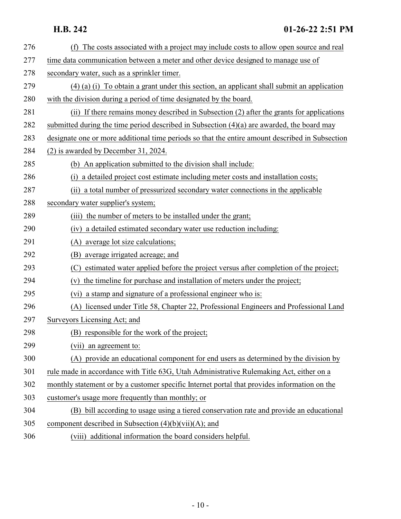| 276 | (f) The costs associated with a project may include costs to allow open source and real         |
|-----|-------------------------------------------------------------------------------------------------|
| 277 | time data communication between a meter and other device designed to manage use of              |
| 278 | secondary water, such as a sprinkler timer.                                                     |
| 279 | $(4)$ (a) (i) To obtain a grant under this section, an applicant shall submit an application    |
| 280 | with the division during a period of time designated by the board.                              |
| 281 | (ii) If there remains money described in Subsection (2) after the grants for applications       |
| 282 | submitted during the time period described in Subsection $(4)(a)$ are awarded, the board may    |
| 283 | designate one or more additional time periods so that the entire amount described in Subsection |
| 284 | $(2)$ is awarded by December 31, 2024.                                                          |
| 285 | (b) An application submitted to the division shall include:                                     |
| 286 | (i) a detailed project cost estimate including meter costs and installation costs;              |
| 287 | (ii) a total number of pressurized secondary water connections in the applicable                |
| 288 | secondary water supplier's system;                                                              |
| 289 | (iii) the number of meters to be installed under the grant;                                     |
| 290 | (iv) a detailed estimated secondary water use reduction including:                              |
| 291 | (A) average lot size calculations;                                                              |
| 292 | average irrigated acreage; and<br>(B)                                                           |
| 293 | estimated water applied before the project versus after completion of the project;<br>(C)       |
| 294 | the timeline for purchase and installation of meters under the project;<br>(v)                  |
| 295 | (vi) a stamp and signature of a professional engineer who is:                                   |
| 296 | (A) licensed under Title 58, Chapter 22, Professional Engineers and Professional Land           |
| 297 | Surveyors Licensing Act; and                                                                    |
| 298 | (B) responsible for the work of the project;                                                    |
| 299 | (vii) an agreement to:                                                                          |
| 300 | (A) provide an educational component for end users as determined by the division by             |
| 301 | rule made in accordance with Title 63G, Utah Administrative Rulemaking Act, either on a         |
| 302 | monthly statement or by a customer specific Internet portal that provides information on the    |
| 303 | customer's usage more frequently than monthly; or                                               |
| 304 | (B) bill according to usage using a tiered conservation rate and provide an educational         |
| 305 | component described in Subsection $(4)(b)(vii)(A)$ ; and                                        |
| 306 | (viii) additional information the board considers helpful.                                      |